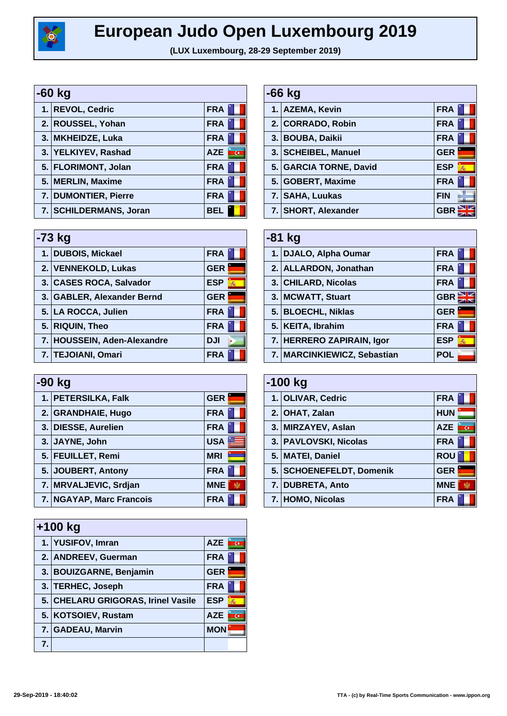

## **European Judo Open Luxembourg 2019**

**(LUX Luxembourg, 28-29 September 2019)**

| -60 kg |                        |            |  |
|--------|------------------------|------------|--|
|        | 1. REVOL, Cedric       | <b>FRA</b> |  |
|        | 2. ROUSSEL, Yohan      | <b>FRA</b> |  |
|        | 3. MKHEIDZE, Luka      | <b>FRA</b> |  |
|        | 3. YELKIYEV, Rashad    | <b>AZE</b> |  |
|        | 5. FLORIMONT, Jolan    | <b>FRA</b> |  |
|        | 5. MERLIN, Maxime      | <b>FRA</b> |  |
|        | 7. DUMONTIER, Pierre   | <b>FRA</b> |  |
|        | 7. SCHILDERMANS, Joran | <b>BEL</b> |  |

| $-73$ kg |                             |                 |  |
|----------|-----------------------------|-----------------|--|
|          | 1. DUBOIS, Mickael          | <b>FRA</b>      |  |
|          | 2. VENNEKOLD, Lukas         | <b>GER</b>      |  |
|          | 3. CASES ROCA, Salvador     | <b>ESP</b><br>燕 |  |
|          | 3. GABLER, Alexander Bernd  | <b>GER</b>      |  |
|          | 5. LA ROCCA, Julien         | <b>FRA</b>      |  |
|          | 5. RIQUIN, Theo             | <b>FRA</b>      |  |
|          | 7. HOUSSEIN, Aden-Alexandre | <b>DJI</b>      |  |
|          | 7. TEJOIANI, Omari          | <b>FRA</b>      |  |

| -90 kg |                          |            |  |
|--------|--------------------------|------------|--|
|        | 1. PETERSILKA, Falk      | <b>GER</b> |  |
|        | 2. GRANDHAIE, Hugo       | <b>FRA</b> |  |
|        | 3. DIESSE, Aurelien      | <b>FRA</b> |  |
|        | 3. JAYNE, John           | <b>USA</b> |  |
|        | 5. FEUILLET, Remi        | <b>MRI</b> |  |
|        | 5. JOUBERT, Antony       | <b>FRA</b> |  |
|        | 7. MRVALJEVIC, Srdjan    | <b>MNE</b> |  |
|        | 7. NGAYAP, Marc Francois | <b>FRA</b> |  |

| $+100$ kg |                                    |                 |  |
|-----------|------------------------------------|-----------------|--|
|           | 1. YUSIFOV, Imran                  | <b>AZE</b>      |  |
|           | 2. ANDREEV, Guerman                | <b>FRA</b>      |  |
|           | 3. BOUIZGARNE, Benjamin            | <b>GER</b>      |  |
|           | 3. TERHEC, Joseph                  | <b>FRA</b>      |  |
|           | 5. CHELARU GRIGORAS, Irinel Vasile | <b>ESP</b><br>燕 |  |
|           | 5. KOTSOIEV, Rustam                | <b>AZE</b>      |  |
|           | 7. GADEAU, Marvin                  | <b>MON</b>      |  |
| 7.        |                                    |                 |  |

| -66 kg |                        |            |   |
|--------|------------------------|------------|---|
|        | 1. AZEMA, Kevin        | <b>FRA</b> |   |
|        | 2. CORRADO, Robin      | <b>FRA</b> |   |
|        | 3. BOUBA, Daikii       | <b>FRA</b> |   |
|        | 3. SCHEIBEL, Manuel    | <b>GER</b> |   |
|        | 5. GARCIA TORNE, David | <b>ESP</b> | 燕 |
|        | 5. GOBERT, Maxime      | <b>FRA</b> |   |
|        | 7. SAHA, Luukas        | <b>FIN</b> |   |
|        | 7. SHORT, Alexander    | <b>GBR</b> |   |

| $-81$ kg |                             |                 |  |
|----------|-----------------------------|-----------------|--|
|          | 1. DJALO, Alpha Oumar       | <b>FRA</b>      |  |
|          | 2. ALLARDON, Jonathan       | <b>FRA</b>      |  |
|          | 3. CHILARD, Nicolas         | <b>FRA</b>      |  |
|          | 3. MCWATT, Stuart           | <b>GBR</b>      |  |
|          | 5. BLOECHL, Niklas          | <b>GER</b>      |  |
|          | 5. KEITA, Ibrahim           | <b>FRA</b>      |  |
|          | 7. HERRERO ZAPIRAIN, Igor   | <b>ESP</b><br>燕 |  |
|          | 7. MARCINKIEWICZ, Sebastian | POL             |  |

| $-100$ kg |                          |                 |
|-----------|--------------------------|-----------------|
|           | 1. OLIVAR, Cedric        | <b>FRA</b>      |
|           | 2. OHAT, Zalan           | <b>HUN</b>      |
|           | 3. MIRZAYEV, Aslan       | <b>AZE</b><br>ल |
|           | 3. PAVLOVSKI, Nicolas    | <b>FRA</b>      |
|           | 5. MATEI, Daniel         | <b>ROU</b>      |
|           | 5. SCHOENEFELDT, Domenik | <b>GER</b>      |
|           | 7. DUBRETA, Anto         | <b>MNE</b>      |
|           | 7. HOMO, Nicolas         | <b>FRA</b>      |